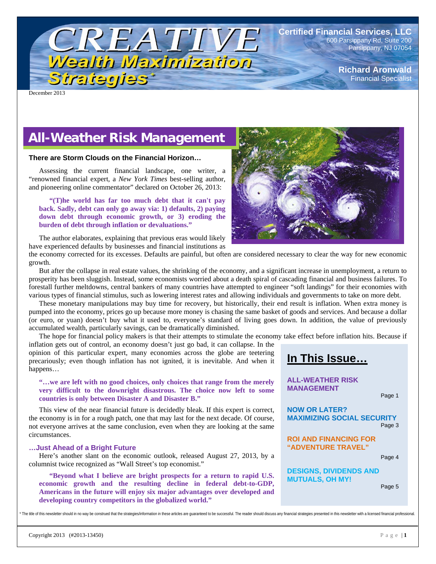

**Certified Financial Services, LLC**  600 Parsippany Rd, Suite 200 Parsippany, NJ 07054

#### **Richard Aronwald**  Financial Specialist

December 2013

# **All-Weather Risk Management**

#### **There are Storm Clouds on the Financial Horizon…**

Assessing the current financial landscape, one writer, a "renowned financial expert, a *New York Times* best-selling author, and pioneering online commentator" declared on October 26, 2013:

**"(T)he world has far too much debt that it can't pay back. Sadly, debt can only go away via: 1) defaults, 2) paying down debt through economic growth, or 3) eroding the burden of debt through inflation or devaluations."** 



The author elaborates, explaining that previous eras would likely have experienced defaults by businesses and financial institutions as

the economy corrected for its excesses. Defaults are painful, but often are considered necessary to clear the way for new economic growth.

But after the collapse in real estate values, the shrinking of the economy, and a significant increase in unemployment, a return to prosperity has been sluggish. Instead, some economists worried about a death spiral of cascading financial and business failures. To forestall further meltdowns, central bankers of many countries have attempted to engineer "soft landings" for their economies with various types of financial stimulus, such as lowering interest rates and allowing individuals and governments to take on more debt.

These monetary manipulations may buy time for recovery, but historically, their end result is inflation. When extra money is pumped into the economy, prices go up because more money is chasing the same basket of goods and services. And because a dollar (or euro, or yuan) doesn't buy what it used to, everyone's standard of living goes down. In addition, the value of previously accumulated wealth, particularly savings, can be dramatically diminished.

The hope for financial policy makers is that their attempts to stimulate the economy take effect before inflation hits. Because if

inflation gets out of control, an economy doesn't just go bad, it can collapse. In the opinion of this particular expert, many economies across the globe are teetering precariously; even though inflation has not ignited, it is inevitable. And when it happens…

#### **"…we are left with no good choices, only choices that range from the merely very difficult to the downright disastrous. The choice now left to some countries is only between Disaster A and Disaster B."**

This view of the near financial future is decidedly bleak. If this expert is correct, the economy is in for a rough patch, one that may last for the next decade. Of course, not everyone arrives at the same conclusion, even when they are looking at the same circumstances.

#### **…Just Ahead of a Bright Future**

Here's another slant on the economic outlook, released August 27, 2013, by a columnist twice recognized as "Wall Street's top economist."

**"Beyond what I believe are bright prospects for a return to rapid U.S. economic growth and the resulting decline in federal debt-to-GDP, Americans in the future will enjoy six major advantages over developed and developing country competitors in the globalized world."**

## **In This Issue…**

**ALL-WEATHER RISK MANAGEMENT** 

Page 1

**NOW OR LATER? MAXIMIZING SOCIAL SECURITY** Page 3

**ROI AND FINANCING FOR "ADVENTURE TRAVEL"** 

Page 4

#### **DESIGNS, DIVIDENDS AND MUTUALS, OH MY!**

Page 5

The title of this newsletter should in no way be construed that the strategies/information in these articles are guaranteed to be successful. The reader should discuss any financial strategies presented in this newsletter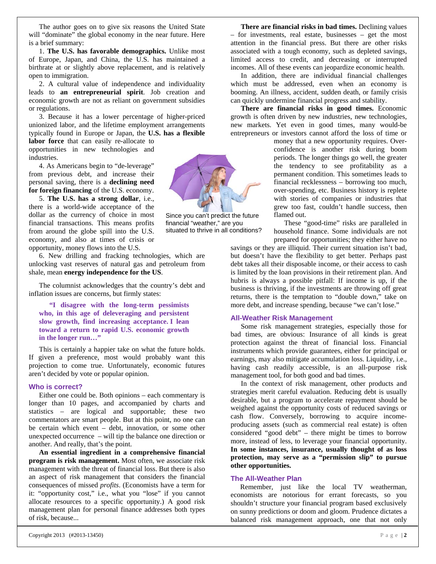The author goes on to give six reasons the United State will "dominate" the global economy in the near future. Here is a brief summary:

1. **The U.S. has favorable demographics.** Unlike most of Europe, Japan, and China, the U.S. has maintained a birthrate at or slightly above replacement, and is relatively open to immigration.

2. A cultural value of independence and individuality leads to **an entrepreneurial spirit**. Job creation and economic growth are not as reliant on government subsidies or regulations.

3. Because it has a lower percentage of higher-priced unionized labor, and the lifetime employment arrangements typically found in Europe or Japan, the **U.S. has a flexible** 

**labor force** that can easily re-allocate to opportunities in new technologies and industries.

4. As Americans begin to "de-leverage" from previous debt, and increase their personal saving, there is a **declining need for foreign financing** of the U.S. economy.

5. **The U.S. has a strong dollar**, i.e., there is a world-wide acceptance of the dollar as the currency of choice in most financial transactions. This means profits from around the globe spill into the U.S. economy, and also at times of crisis or opportunity, money flows into the U.S.

6. New drilling and fracking technologies, which are unlocking vast reserves of natural gas and petroleum from shale, mean **energy independence for the US**.

The columnist acknowledges that the country's debt and inflation issues are concerns, but firmly states:

**"I disagree with the long-term pessimists who, in this age of deleveraging and persistent slow growth, find increasing acceptance. I lean toward a return to rapid U.S. economic growth in the longer run…"** 

This is certainly a happier take on what the future holds. If given a preference, most would probably want this projection to come true. Unfortunately, economic futures aren't decided by vote or popular opinion.

#### **Who is correct?**

Either one could be. Both opinions – each commentary is longer than 10 pages, and accompanied by charts and statistics – are logical and supportable; these two commentators are smart people. But at this point, no one can be certain which event – debt, innovation, or some other unexpected occurrence – will tip the balance one direction or another. And really, that's the point.

**An essential ingredient in a comprehensive financial program is risk management.** Most often, we associate risk management with the threat of financial loss. But there is also an aspect of risk management that considers the financial consequences of missed *profits*. (Economists have a term for it: "opportunity cost," i.e., what you "lose" if you cannot allocate resources to a specific opportunity.) A good risk management plan for personal finance addresses both types of risk, because...



Since you can't predict the future financial "weather," are you situated to thrive in all conditions?

**There are financial risks in bad times.** Declining values – for investments, real estate, businesses – get the most attention in the financial press. But there are other risks associated with a tough economy, such as depleted savings, limited access to credit, and decreasing or interrupted incomes. All of these events can jeopardize economic health.

In addition, there are individual financial challenges which must be addressed, even when an economy is booming. An illness, accident, sudden death, or family crisis can quickly undermine financial progress and stability.

**There are financial risks in good times.** Economic growth is often driven by new industries, new technologies, new markets. Yet even in good times, many would-be entrepreneurs or investors cannot afford the loss of time or

money that a new opportunity requires. Overconfidence is another risk during boom periods. The longer things go well, the greater the tendency to see profitability as a permanent condition. This sometimes leads to financial recklessness – borrowing too much, over-spending, etc. Business history is replete with stories of companies or industries that grew too fast, couldn't handle success, then flamed out.

These "good-time" risks are paralleled in household finance. Some individuals are not prepared for opportunities; they either have no

savings or they are illiquid. Their current situation isn't bad, but doesn't have the flexibility to get better. Perhaps past debt takes all their disposable income, or their access to cash is limited by the loan provisions in their retirement plan. And hubris is always a possible pitfall: If income is up, if the business is thriving, if the investments are throwing off great returns, there is the temptation to "double down," take on more debt, and increase spending, because "we can't lose."

#### **All-Weather Risk Management**

Some risk management strategies, especially those for bad times, are obvious: Insurance of all kinds is great protection against the threat of financial loss. Financial instruments which provide guarantees, either for principal or earnings, may also mitigate accumulation loss. Liquidity, i.e., having cash readily accessible, is an all-purpose risk management tool, for both good and bad times.

In the context of risk management, other products and strategies merit careful evaluation. Reducing debt is usually desirable, but a program to accelerate repayment should be weighed against the opportunity costs of reduced savings or cash flow. Conversely, borrowing to acquire incomeproducing assets (such as commercial real estate) is often considered "good debt" – there might be times to borrow more, instead of less, to leverage your financial opportunity. **In some instances, insurance, usually thought of as loss protection, may serve as a "permission slip" to pursue other opportunities.**

#### **The All-Weather Plan**

Remember, just like the local TV weatherman, economists are notorious for errant forecasts, so you shouldn't structure your financial program based exclusively on sunny predictions or doom and gloom. Prudence dictates a balanced risk management approach, one that not only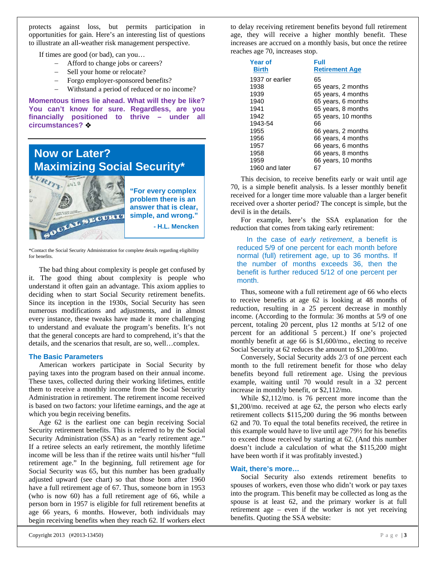protects against loss, but permits participation in opportunities for gain. Here's an interesting list of questions to illustrate an all-weather risk management perspective.

If times are good (or bad), can you…

- Afford to change jobs or careers?
- Sell your home or relocate?
- Forgo employer-sponsored benefits?
- Withstand a period of reduced or no income?

**Momentous times lie ahead. What will they be like? You can't know for sure. Regardless, are you financially positioned to thrive – under all circumstances?** 



\*Contact the Social Security Administration for complete details regarding eligibility for benefits.

The bad thing about complexity is people get confused by it. The good thing about complexity is people who understand it often gain an advantage. This axiom applies to deciding when to start Social Security retirement benefits. Since its inception in the 1930s, Social Security has seen numerous modifications and adjustments, and in almost every instance, these tweaks have made it more challenging to understand and evaluate the program's benefits. It's not that the general concepts are hard to comprehend, it's that the details, and the scenarios that result, are so, well…complex.

#### **The Basic Parameters**

American workers participate in Social Security by paying taxes into the program based on their annual income. These taxes, collected during their working lifetimes, entitle them to receive a monthly income from the Social Security Administration in retirement. The retirement income received is based on two factors: your lifetime earnings, and the age at which you begin receiving benefits.

Age 62 is the earliest one can begin receiving Social Security retirement benefits. This is referred to by the Social Security Administration (SSA) as an "early retirement age." If a retiree selects an early retirement, the monthly lifetime income will be less than if the retiree waits until his/her "full retirement age." In the beginning, full retirement age for Social Security was 65, but this number has been gradually adjusted upward (see chart) so that those born after 1960 have a full retirement age of 67. Thus, someone born in 1953 (who is now 60) has a full retirement age of 66, while a person born in 1957 is eligible for full retirement benefits at age 66 years, 6 months. However, both individuals may begin receiving benefits when they reach 62. If workers elect

to delay receiving retirement benefits beyond full retirement age, they will receive a higher monthly benefit. These increases are accrued on a monthly basis, but once the retiree reaches age 70, increases stop.

| Year of              | Full                                            |
|----------------------|-------------------------------------------------|
| <b>Birth</b>         | <b>Retirement Age</b>                           |
| 1937 or earlier      | 65                                              |
| 1938                 | 65 years, 2 months                              |
| 1939<br>1940<br>1941 | 65 years, 4 months<br>65 years, 6 months        |
| 1942<br>1943-54      | 65 years, 8 months<br>65 years, 10 months<br>66 |
| 1955                 | 66 years, 2 months                              |
| 1956                 | 66 years, 4 months                              |
| 1957                 | 66 years, 6 months                              |
| 1958                 | 66 years, 8 months                              |
| 1959                 | 66 years, 10 months                             |
| 1960 and later       | 67                                              |

This decision, to receive benefits early or wait until age 70, is a simple benefit analysis. Is a lesser monthly benefit received for a longer time more valuable than a larger benefit received over a shorter period? The concept is simple, but the devil is in the details.

For example, here's the SSA explanation for the reduction that comes from taking early retirement:

In the case of *early retirement*, a benefit is reduced 5/9 of one percent for each month before normal (full) retirement age, up to 36 months. If the number of months exceeds 36, then the benefit is further reduced 5/12 of one percent per month.

Thus, someone with a full retirement age of 66 who elects to receive benefits at age 62 is looking at 48 months of reduction, resulting in a 25 percent decrease in monthly income. (According to the formula: 36 months at 5/9 of one percent, totaling 20 percent, plus 12 months at 5/12 of one percent for an additional 5 percent.) If one's projected monthly benefit at age 66 is \$1,600/mo., electing to receive Social Security at 62 reduces the amount to \$1,200/mo.

Conversely, Social Security adds 2/3 of one percent each month to the full retirement benefit for those who delay benefits beyond full retirement age. Using the previous example, waiting until 70 would result in a 32 percent increase in monthly benefit, or \$2,112/mo.

While \$2,112/mo. is 76 percent more income than the \$1,200/mo. received at age 62, the person who elects early retirement collects \$115,200 during the 96 months between 62 and 70. To equal the total benefits received, the retiree in this example would have to live until age 79½ for his benefits to exceed those received by starting at 62. (And this number doesn't include a calculation of what the \$115,200 might have been worth if it was profitably invested.)

#### **Wait, there's more…**

Social Security also extends retirement benefits to spouses of workers, even those who didn't work or pay taxes into the program. This benefit may be collected as long as the spouse is at least 62, and the primary worker is at full retirement age – even if the worker is not yet receiving benefits. Quoting the SSA website: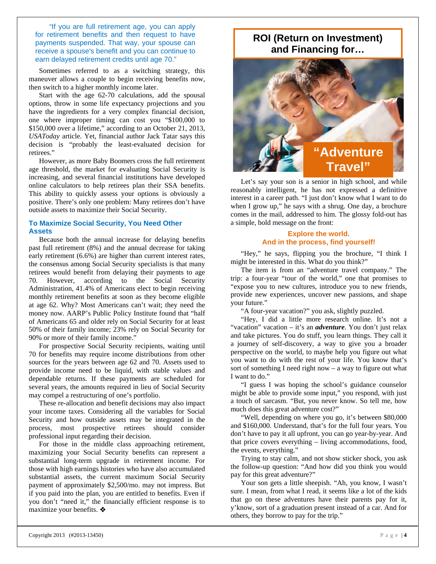"If you are full retirement age, you can apply for retirement benefits and then request to have payments suspended. That way, your spouse can receive a spouse's benefit and you can continue to earn delayed retirement credits until age 70."

Sometimes referred to as a switching strategy, this maneuver allows a couple to begin receiving benefits now, then switch to a higher monthly income later.

Start with the age 62-70 calculations, add the spousal options, throw in some life expectancy projections and you have the ingredients for a very complex financial decision, one where improper timing can cost you "\$100,000 to \$150,000 over a lifetime," according to an October 21, 2013, *USAToday* article. Yet, financial author Jack Tatar says this decision is "probably the least-evaluated decision for retirees."

However, as more Baby Boomers cross the full retirement age threshold, the market for evaluating Social Security is increasing, and several financial institutions have developed online calculators to help retirees plan their SSA benefits. This ability to quickly assess your options is obviously a positive. There's only one problem: Many retirees don't have outside assets to maximize their Social Security.

#### **To Maximize Social Security, You Need Other Assets**

Because both the annual increase for delaying benefits past full retirement (8%) and the annual decrease for taking early retirement (6.6%) are higher than current interest rates, the consensus among Social Security specialists is that many retirees would benefit from delaying their payments to age 70. However, according to the Social Security Administration, 41.4% of Americans elect to begin receiving monthly retirement benefits at soon as they become eligible at age 62. Why? Most Americans can't wait; they need the money now. AARP's Public Policy Institute found that "half of Americans 65 and older rely on Social Security for at least 50% of their family income; 23% rely on Social Security for 90% or more of their family income."

For prospective Social Security recipients, waiting until 70 for benefits may require income distributions from other sources for the years between age 62 and 70. Assets used to provide income need to be liquid, with stable values and dependable returns. If these payments are scheduled for several years, the amounts required in lieu of Social Security may compel a restructuring of one's portfolio.

These re-allocation and benefit decisions may also impact your income taxes. Considering all the variables for Social Security and how outside assets may be integrated in the process, most prospective retirees should consider professional input regarding their decision.

For those in the middle class approaching retirement, maximizing your Social Security benefits can represent a substantial long-term upgrade in retirement income. For those with high earnings histories who have also accumulated substantial assets, the current maximum Social Security payment of approximately \$2,500/mo. may not impress. But if you paid into the plan, you are entitled to benefits. Even if you don't "need it," the financially efficient response is to maximize your benefits.

### **ROI (Return on Investment) and Financing for…**



Let's say your son is a senior in high school, and while reasonably intelligent, he has not expressed a definitive interest in a career path. "I just don't know what I want to do when I grow up," he says with a shrug. One day, a brochure comes in the mail, addressed to him. The glossy fold-out has a simple, bold message on the front:

#### **Explore the world. And in the process, find yourself!**

"Hey," he says, flipping you the brochure, "I think I might be interested in this. What do you think?"

The item is from an "adventure travel company." The trip: a four-year "tour of the world," one that promises to "expose you to new cultures, introduce you to new friends, provide new experiences, uncover new passions, and shape your future."

"A four-year vacation?" you ask, slightly puzzled.

"Hey, I did a little more research online. It's not a "vacation" vacation – it's an *adventure*. You don't just relax and take pictures. You do stuff, you learn things. They call it a journey of self-discovery, a way to give you a broader perspective on the world, to maybe help you figure out what you want to do with the rest of your life. You know that's sort of something I need right now – a way to figure out what I want to do."

"I guess I was hoping the school's guidance counselor might be able to provide some input," you respond, with just a touch of sarcasm. "But, you never know. So tell me, how much does this great adventure cost?"

"Well, depending on where you go, it's between \$80,000 and \$160,000. Understand, that's for the full four years. You don't have to pay it all upfront, you can go year-by-year. And that price covers everything – living accommodations, food, the events, everything."

Trying to stay calm, and not show sticker shock, you ask the follow-up question: "And how did you think you would pay for this great adventure?"

Your son gets a little sheepish. "Ah, you know, I wasn't sure. I mean, from what I read, it seems like a lot of the kids that go on these adventures have their parents pay for it, y'know, sort of a graduation present instead of a car. And for others, they borrow to pay for the trip."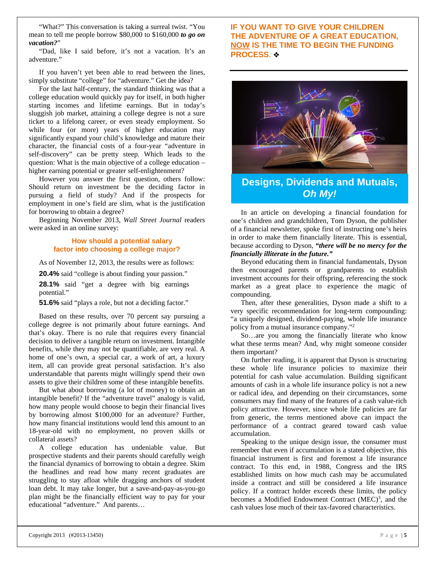"What?" This conversation is taking a surreal twist. "You mean to tell me people borrow \$80,000 to \$160,000 *to go on vacation?*"

"Dad, like I said before, it's not a vacation. It's an adventure."

If you haven't yet been able to read between the lines, simply substitute "college" for "adventure." Get the idea?

For the last half-century, the standard thinking was that a college education would quickly pay for itself, in both higher starting incomes and lifetime earnings. But in today's sluggish job market, attaining a college degree is not a sure ticket to a lifelong career, or even steady employment. So while four (or more) years of higher education may significantly expand your child's knowledge and mature their character, the financial costs of a four-year "adventure in self-discovery" can be pretty steep. Which leads to the question: What is the main objective of a college education – higher earning potential or greater self-enlightenment?

However you answer the first question, others follow: Should return on investment be the deciding factor in pursuing a field of study? And if the prospects for employment in one's field are slim, what is the justification for borrowing to obtain a degree?

Beginning November 2013, *Wall Street Journal* readers were asked in an online survey:

#### **How should a potential salary factor into choosing a college major?**

As of November 12, 2013, the results were as follows:

**20.4%** said "college is about finding your passion."

**28.1%** said "get a degree with big earnings potential."

**51.6%** said "plays a role, but not a deciding factor."

Based on these results, over 70 percent say pursuing a college degree is not primarily about future earnings. And that's okay. There is no rule that requires every financial decision to deliver a tangible return on investment. Intangible benefits, while they may not be quantifiable, are very real. A home of one's own, a special car, a work of art, a luxury item, all can provide great personal satisfaction. It's also understandable that parents might willingly spend their own assets to give their children some of these intangible benefits.

But what about borrowing (a lot of money) to obtain an intangible benefit? If the "adventure travel" analogy is valid, how many people would choose to begin their financial lives by borrowing almost \$100,000 for an adventure? Further, how many financial institutions would lend this amount to an 18-year-old with no employment, no proven skills or collateral assets?

A college education has undeniable value. But prospective students and their parents should carefully weigh the financial dynamics of borrowing to obtain a degree. Skim the headlines and read how many recent graduates are struggling to stay afloat while dragging anchors of student loan debt. It may take longer, but a save-and-pay-as-you-go plan might be the financially efficient way to pay for your educational "adventure." And parents…

**IF YOU WANT TO GIVE YOUR CHILDREN THE ADVENTURE OF A GREAT EDUCATION, NOW IS THE TIME TO BEGIN THE FUNDING PROCESS**.



**Designs, Dividends and Mutuals,**  *Oh My!* 

In an article on developing a financial foundation for one's children and grandchildren, Tom Dyson, the publisher of a financial newsletter, spoke first of instructing one's heirs in order to make them financially literate. This is essential, because according to Dyson, *"there will be no mercy for the financially illiterate in the future."*

Beyond educating them in financial fundamentals, Dyson then encouraged parents or grandparents to establish investment accounts for their offspring, referencing the stock market as a great place to experience the magic of compounding.

Then, after these generalities, Dyson made a shift to a very specific recommendation for long-term compounding: "a uniquely designed, dividend-paying, whole life insurance policy from a mutual insurance company."2

So…are you among the financially literate who know what these terms mean? And, why might someone consider them important?

On further reading, it is apparent that Dyson is structuring these whole life insurance policies to maximize their potential for cash value accumulation. Building significant amounts of cash in a whole life insurance policy is not a new or radical idea, and depending on their circumstances, some consumers may find many of the features of a cash value-rich policy attractive. However, since whole life policies are far from generic, the terms mentioned above can impact the performance of a contract geared toward cash value accumulation.

Speaking to the unique design issue, the consumer must remember that even if accumulation is a stated objective, this financial instrument is first and foremost a life insurance contract. To this end, in 1988, Congress and the IRS established limits on how much cash may be accumulated inside a contract and still be considered a life insurance policy. If a contract holder exceeds these limits, the policy becomes a Modified Endowment Contract  $(MEC)^3$ , and the cash values lose much of their tax-favored characteristics.